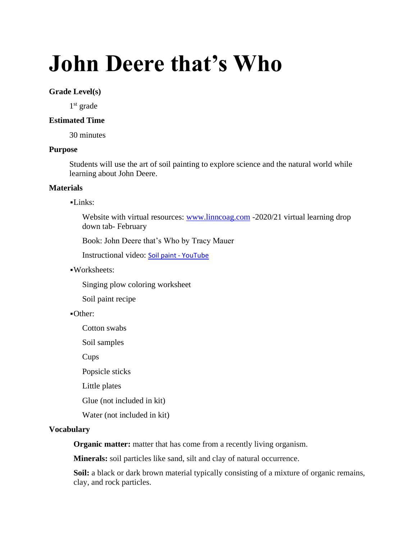# **John Deere that's Who**

#### **Grade Level(s)**

1<sup>st</sup> grade

#### **Estimated Time**

30 minutes

## **Purpose**

Students will use the art of soil painting to explore science and the natural world while learning about John Deere.

#### **Materials**

#### ▪Links:

Website with virtual resources: [www.linncoag.com](http://www.linncoag.com/) -2020/21 virtual learning drop down tab- February

Book: John Deere that's Who by Tracy Mauer

Instructional video: [Soil paint -](https://www.youtube.com/watch?v=-5GaXgbXF7c) YouTube

### ▪Worksheets:

Singing plow coloring worksheet

Soil paint recipe

#### ▪Other:

Cotton swabs

Soil samples

Cups

Popsicle sticks

Little plates

Glue (not included in kit)

Water (not included in kit)

#### **Vocabulary**

**Organic matter:** matter that has come from a recently living organism.

**Minerals:** soil particles like sand, silt and clay of natural occurrence.

**Soil:** a black or dark brown material typically consisting of a mixture of organic remains, clay, and rock particles.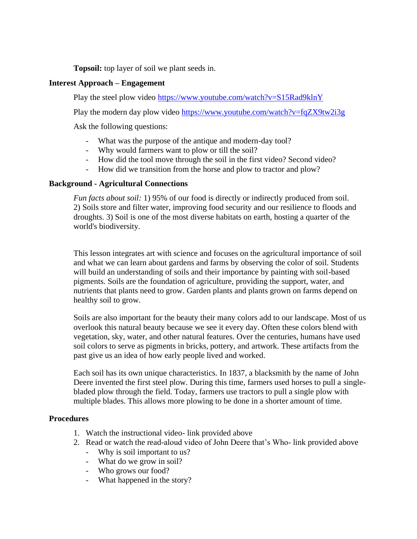**Topsoil:** top layer of soil we plant seeds in.

## **Interest Approach – Engagement**

Play the steel plow video<https://www.youtube.com/watch?v=S15Rad9klnY>

Play the modern day plow video<https://www.youtube.com/watch?v=fqZX9tw2i3g>

Ask the following questions:

- What was the purpose of the antique and modern-day tool?
- Why would farmers want to plow or till the soil?
- How did the tool move through the soil in the first video? Second video?
- How did we transition from the horse and plow to tractor and plow?

## **Background - Agricultural Connections**

*Fun facts about soil:* 1) 95% of our food is directly or indirectly produced from soil. 2) Soils store and filter water, improving food security and our resilience to floods and droughts. 3) Soil is one of the most diverse habitats on earth, hosting a quarter of the world's biodiversity.

This lesson integrates art with science and focuses on the agricultural importance of soil and what we can learn about gardens and farms by observing the color of soil. Students will build an understanding of soils and their importance by painting with soil-based pigments. Soils are the foundation of agriculture, providing the support, water, and nutrients that plants need to grow. Garden plants and plants grown on farms depend on healthy soil to grow.

Soils are also important for the beauty their many colors add to our landscape. Most of us overlook this natural beauty because we see it every day. Often these colors blend with vegetation, sky, water, and other natural features. Over the centuries, humans have used soil colors to serve as pigments in bricks, pottery, and artwork. These artifacts from the past give us an idea of how early people lived and worked.

Each soil has its own unique characteristics. In 1837, a blacksmith by the name of John Deere invented the first steel plow. During this time, farmers used horses to pull a singlebladed plow through the field. Today, farmers use tractors to pull a single plow with multiple blades. This allows more plowing to be done in a shorter amount of time.

#### **Procedures**

- 1. Watch the instructional video- link provided above
- 2. Read or watch the read-aloud video of John Deere that's Who- link provided above
	- Why is soil important to us?
	- What do we grow in soil?
	- Who grows our food?
	- What happened in the story?